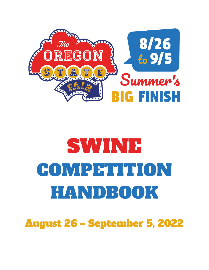

# SWINE COMPETITION HANDBOOK

August 26 – September 5, 2022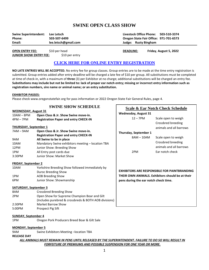## **SWINE OPEN CLASS SHOW**

| Swine Superintendent:  | Lee Letsch           | Livestock Office Phone: 503-510-3374       |
|------------------------|----------------------|--------------------------------------------|
| Phone:                 | 503-507-6499         | Oregon State Fair Office: 971-701-6573     |
| Email:                 | lee.letsch@gmail.com | Judge: Rusty Bingham                       |
| <b>OPEN ENTRY FEE:</b> | \$10 per head        | Friday, August 5, 2022<br><b>DEADLINE:</b> |

**JUNIOR SHOW ENTRY FEE:** \$10 per entry

## **[CLICK HERE FOR ONLINE ENTRY REGISTRATION](http://oregona.fairwire.com/)**

**NO LATE ENTRIES WILL BE ACCEPTED.** No entry fee for group classes. Group entries are to be made at the time entry registration is submitted. Group entries added after entry deadline will be charged a late fee of \$10 per group. All substitutions must be completed at time of check-in, with a maximum of **three** (3) per Exhibitor at no charge; additional substitutions will be charged an entry fee. **Substitutions may include but not be limited to: lack of proper ear notch entry; missing or incorrect entry information such as registration numbers, sire name or animal name; or an entry substitution.** 

**Scale & Ear Notch Check Schedule**

12 – 7PM Scale open to weigh

8AM – 10AM Scale open to weigh

2PM Ear notch check

**EXHIBITORS ARE RESPONSIBLE FOR PAINTBRANDING THEIR OWN ANIMALS. Exhibitors should be at their** 

**pens during the ear notch check time.** 

Crossbred breeding animals and all barrows

Crossbred breeding animals and all barrows

**Wednesday, August 31**

**Thursday, September 1**

#### **EXHIBITOR PASSES:**

Please check www.oregonstatefair.org for pass information or 2022 Oregon State Fair General Rules, page 4.

## **SWINE SHOW SCHEDULE**

| <b>WEDNESDAY, August 31</b>  |                                                   |
|------------------------------|---------------------------------------------------|
| $10AM - RPM$                 | Open Class & Jr. Show Swine move-in.              |
| $4PM - 7PM$                  | <b>Registration Paper and entry CHECK-IN</b>      |
| <b>THURSDAY, September 1</b> |                                                   |
| $7AM - 9AM$                  | Open Class & Jr. Show Swine move-in.              |
|                              | <b>Registration Paper and entry CHECK-IN</b>      |
| 9AM                          | All Swine to be in place                          |
| 10AM                         | Mandatory Swine exhibitors meeting – location TBA |
| 12PM                         | Junior Show: Breeding Show                        |
| 1PM                          | All Entry post cards due                          |
| 3:30PM                       | <b>Iunior Show: Market Show</b>                   |
|                              |                                                   |
|                              |                                                   |

#### **FRIDAY, September 2**

| 10AM | Yorkshire Breeding Show followed immediately by |
|------|-------------------------------------------------|
|      | Duroc Breeding Show                             |
| 1PM  | AOB Breeding Show                               |
| 6PM  | Junior Show: Showmanship                        |

#### **SATURDAY, September 3**

| 8AM    | Crossbred Breeding Show                               |
|--------|-------------------------------------------------------|
| 2PM    | Open Show for Supreme Champion Boar and Gilt          |
|        | (Includes purebred & crossbreds & BOTH AOB divisions) |
| 2:30PM | <b>Market Barrow Show</b>                             |
| 5:00PM | Prospect Pig Sift                                     |

#### **SUNDAY, September 4**

1PM Oregon Pork Producers Breed Boar & Gilt Sale

#### **MONDAY, September 5**

9AM Swine Exhibitors Meeting - location TBA

**RELEASE DAY**

*ALL ANIMALS MUST REMAIN IN PENS UNTIL RELEASED BY THE SUPERINTENDENT. FAILURE TO DO SO WILL RESULT IN FORFEITURE OF PREMIUMS AND POSSIBLE SUSPENSION FOR ONE YEAR OR MORE.*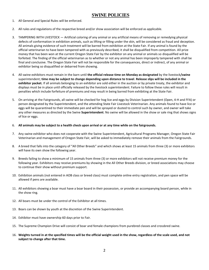# **SWINE POLICIES**

- 1. All General and Special Rules will be enforced.
- 2. All rules and regulations of the respective breed and/or show association will be enforced as applicable.
- 3. TAMPERING WITH LIVESTOCK Artificial coloring of any animal or any artificial means of removing or remedying physical defects of conformation in exhibition animals, such as lifting or filling under the skin, will be considered as fraud and deception. All animals giving evidence of such treatment will be barred from exhibition at the State Fair. If any animal is found by the official veterinarian to have been tampered with as previously described, it shall be disqualified from competition. All prize money that has been won at the current Oregon State Fair by the exhibitor on any animal or animals so disqualified will be forfeited. The finding of the official veterinarian as to whether or not any animal has been improperly tampered with shall be final and conclusive. The Oregon State Fair will not be responsible for the consequences, direct or indirect, of any animal or exhibitor being so disqualified or debarred from showing.
- 4. All swine exhibitors must remain in the barn until **the official release time on Monday as designated** by the livestock**/swine** superintendent; **time may be subject to change depending upon distance to travel**. **Release slips will be included in the exhibitor packet.** If all animals belonging to an exhibitor are sold either in the auction or by private treaty, the exhibitor and displays must be in place until officially released by the livestock superintendent. Failure to follow these rules will result in penalties which include forfeiture of premiums and may result in being barred from exhibiting at the State Fair.
- 5. On arriving at the Fairgrounds, all swine will be checked for hog lice and eggs by Division Superintendent (Open, 4-H and FFA) or person designated by the Superintendent, and the attending State Fair Livestock Veterinarian. Any animals found to have lice or eggs will be quarantined to their immediate pen and will be sprayed or dusted to control such by owner, and owner will take any other measures as directed by the Swine **Superintendent**. No swine will be allowed in the show or sale ring that shows signs of lice or eggs.
- 6. **All animals may be subject to a health check upon arrival or at any time while on the fairgrounds.**
- 7. Any swine exhibitor who does not cooperate with the Swine Superintendent, Agricultural Programs Manager, Oregon State Fair Veterinarian and management of Oregon State Fair, will be asked to immediately remove their animals from the Fairgrounds.
- 8. A breed that falls into the category of "All Other Breeds" and which shows at least 15 animals from three (3) or more exhibitors will have its own show the following year.
- 9. Breeds failing to show a minimum of 15 animals from three (3) or more exhibitors will not receive premium money for the following year. Exhibitors may receive premiums by showing in the All Other Breeds division, or breed associations may choose to continue their show without premium support.
- 10. Exhibition animals (not entered in AOB class or breed class) must complete online entry registration, and pen space will be allowed if pens are available.
- 11. All exhibitors showing a boar must have a boar board in their possession, or provide an accompanying board person, while in the show ring.
- 12. All boars must be under the control of the Exhibitor at all times.
- 13. Boars can be shown by youth at the discretion of the Swine Superintendent.
- 14. Exhibitor must have ownership 60 days prior to Fair.
- 15. The Supreme Champion Drive will consist of boar and female champions from purebred classes and crossbred swine.
- 16. **Weights turned in at the specified times will be the official weight used in the show, regardless of the scale used, and not subject to change after that time.**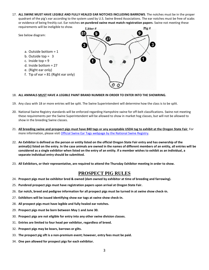- 17. **ALL SWINE MUST HAVE LEGIBLE AND FULLY HEALED EAR NOTCHES INCLUDING BARROWS**. The notches must be in the proper quadrant of the pig's ear according to the system used by U.S. Swine Breed Associations. The ear notches must be free of scabs or evidence of being freshly cut. Ear notches **on purebred swine must match registration papers**. Swine not meeting these requirements will be ineligible to show.
- Litter#  $\overline{P}$ ig# g 9 See below diagram:  $\boldsymbol{a}$ 3 a. Outside bottom = 1 b. Outside top = 3 c. Inside top  $= 9$ d. Inside bottom = 27 e. (Right ear only) f. Tip of ear  $= 81$  (Right ear only) O

#### 18. **ALL ANIMALS MUST HAVE A LEGIBLE PAINT BRAND NUMBER IN ORDER TO ENTER INTO THE SHOWRING.**

- 19. Any class with 18 or more entries will be split. The Swine Superintendent will determine how the class is to be split.
- 20. National Swine Registry standards will be enforced regarding Hampshire swine for off-belt classifications. Swine not meeting these requirements per the Swine Superintendent will be allowed to show in market hog classes, but will not be allowed to show in the breeding Swine classes.
- 21. **All breeding swine and prospect pigs must have 840 tags or any acceptable USDA tag to exhibit at the Oregon State Fair**. For more information, please visit [Official Swine Ear Tags webpage by the National Swine Registry.](http://www.nationalswine.com/shows/ear_tags.php)
- 22. **An Exhibitor is defined as the person or entity listed on the official Oregon State Fair entry and has ownership of the animal(s) listed on the entry. In the case animals are owned in the names of different members of an entity, all entries will be considered as a single exhibitor when listed on the entry of an entity. If a member wishes to exhibit as an individual, a separate individual entry should be submitted.**
- 23. **All Exhibitors, or their representative, are required to attend the Thursday Exhibitor meeting in order to show.**

## **PROSPECT PIG RULES**

- 24. **Prospect pigs must be exhibitor bred & owned (dam owned by exhibitor at time of breeding and farrowing).**
- 25. **Purebred prospect pigs must have registration papers upon arrival at Oregon State Fair.**
- 26. **Ear notch, breed and pedigree information for all prospect pigs must be turned in at swine show check-in.**
- 27. **Exhibitors will be issued identifying show ear tags at swine show check-in.**
- 28. **All prospect pigs must have legible and fully healed ear notches.**
- 29. **Prospect pigs must be born between May 1 and June 30.**
- 30. **Prospect pigs are not eligible for entry into any other swine division classes.**
- 31. **Entries are limited to four head per exhibitor, regardless of breed.**
- 32. **Prospect pigs may be boars, barrows or gilts.**
- 33. **The prospect pig sift is a non-premium event; however, entry fees must be paid.**
- 34. **One pen allowed for prospect pigs for each exhibitor.**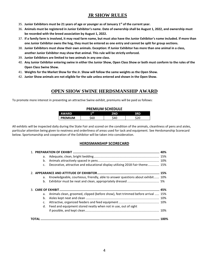# **JR SHOW RULES**

- 35. **Junior Exhibitors must be 21 years of age or younger as of January 1st of the current year.**
- 36. **Animals must be registered in Junior Exhibitor's name. Date of ownership shall be August 1, 2022, and ownership must be recorded with the breed association by August 1, 2022.**
- 37. **If a family farm is involved, it may read farm name, but must also have the Junior Exhibitor's name included. If more than one Junior Exhibitor owns the hog, they must be entered as one entry and cannot be split for group sections.**
- 38. **Junior Exhibitors must show their own animals. Exception: If Junior Exhibitor has more than one animal in a class, another Junior Exhibitor may show that animal. This rule will be strictly enforced.**
- 39. **Junior Exhibitors are limited to two animals in any one class.**
- 40. **Any Junior Exhibitor entering swine in either the Junior Show, Open Class Show or both must conform to the rules of the Open Class Swine Show.**
- 41. **Weights for the Market Show for the Jr. Show will follow the same weights as the Open Show.**
- 42. **Junior Show animals are not eligible for the sale unless entered and shown in the Open Show.**

# **OPEN SHOW SWINE HERDSMANSHIP AWARD**

To promote more interest in presenting an attractive Swine exhibit, premiums will be paid as follows:

#### **PREMIUM SCHEDULE**

| <b>AWARD</b>   | 1 S T |     |  |  |  |  |  |  |
|----------------|-------|-----|--|--|--|--|--|--|
| <b>PREMIUM</b> | 60    | .AC |  |  |  |  |  |  |

All exhibits will be inspected daily during the State Fair and scored on the condition of the animals, cleanliness of pens and aisles, particular attention being given to neatness and orderliness of areas used for tack and equipment. See Herdsmanship Scorecard below. Sportsmanship and cooperation of the Exhibitor will be taken into consideration.

## **HERDSMANSHIP SCORECARD**

| а.      |                                                                                 |  |
|---------|---------------------------------------------------------------------------------|--|
| b.      |                                                                                 |  |
| C.      | Decorative, attractive and educational display utilizing 2018 Fair theme 15%    |  |
|         |                                                                                 |  |
| a.      | Knowledgeable, courteous, friendly, able to answer questions about exhibit 10%  |  |
| b.      |                                                                                 |  |
|         |                                                                                 |  |
| a.      | Animals clean, groomed, clipped (before show), feet trimmed before arrival  15% |  |
| b.      |                                                                                 |  |
| $C_{r}$ |                                                                                 |  |
| d.      | Feed and equipment stored neatly when not in use, out of sight                  |  |
|         |                                                                                 |  |
|         |                                                                                 |  |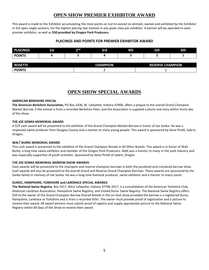# **OPEN SHOW PREMIER EXHIBITOR AWARD**

This award is made to the Exhibitor accumulating the most points *on not to exceed six animals*, owned and exhibited by the Exhibitor in the open single sections, for the *highest placing two animals in any given class per exhibitor*. A banner will be awarded to each premier exhibitor, as well as **\$50 provided by Oregon Pork Producers**.

## **PLACINGS AND POINTS FOR PREMIER EXHIBITOR AWARD**

| <b>PLACINGS</b> | 1st | າ nd | 3rd             | 4th | 5th                     | 6th |  |  |
|-----------------|-----|------|-----------------|-----|-------------------------|-----|--|--|
| <b>POINTS</b>   |     |      |                 |     |                         |     |  |  |
|                 |     |      |                 |     |                         |     |  |  |
| <b>ROSETTE</b>  |     |      | <b>CHAMPION</b> |     | <b>RESERVE CHAMPION</b> |     |  |  |
| <b>POINTS</b>   |     |      |                 |     |                         |     |  |  |

## **OPEN SHOW SPECIAL AWARDS**

#### **AMERICAN BERKSHIRE SPECIAL**

**The American Berkshire Association,** PO Box 2436, W. Lafayette, Indiana 47906, offers a plaque to the overall Grand Champion Market Barrow, if the animal is from a recorded Berkshire litter, and the Association is supplied a photo and story within thirty day of the show.

#### **THE JOE SONKA MEMORIAL AWARD**

A \$25 cash award will be presented to the exhibitor of the Grand Champion Market Barrow in honor of Joe Sonka. He was a respected swine producer from Douglas County and a mentor to many young people. This award is sponsored by Gene Pirelli, Salem, Oregon.

#### **WALT BURKE MEMORIAL AWARD**

This cash award is presented to the exhibitor of the Grand Champion female in All Other Breeds. This award is in honor of Walt Burke, a long time swine exhibitor and member of the Oregon Pork Producers. Walt was a mentor to many in the pork industry and was especially supportive of youth activities. Sponsored by Gene Pirelli of Salem, Oregon

#### **THE JOE SONKA MEMORIAL BARROW SHOW AWARDS**

Cash awards will be presented to the champion and reserve champion barrows in both the purebred and crossbred barrow show. Cash awards will also be presented to the overall Grand and Reserve Grand Champion Barrows. These awards are sponsored by the Sonka family in memory of Joe Sonka. He was a long time livestock producer, swine exhibitor and a mentor to many youth.

#### **DUROC, HAMPSHIRE, YORKSHIRE and LANDRACE SPECIAL AWARDS**

**The National Swine Registry**, Box 2417, West Lafayette, Indiana 47796-2417, is a consolidation of the American Yorkshire Club, American Landrace Association, Hampshire Swine Registry, and United Duroc Swine Registry. The National Swine Registry offers \$50 to the owner of the Grand Champion Barrow Overall Breeds in the on-foot show provided the barrow is a registered Duroc, Hampshire, Landrace or Yorkshire and is from a recorded litter. The owner must provide proof of registration and a picture to receive their award. All award winners must submit proof of registry and supply appropriate picture to the National Swine Registry within 60 days of the Show to receive their award.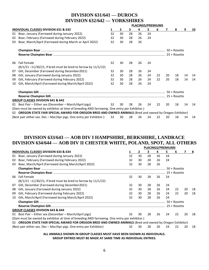# **DIVISION 631/641 — DUROCS DIVISION 632/642 — YORKSHIRES**

|    |                                                                                                           | <b>PLACINGS/PREMIUMS</b> |              |    |    |    |    |    |              |    |    |
|----|-----------------------------------------------------------------------------------------------------------|--------------------------|--------------|----|----|----|----|----|--------------|----|----|
|    | <b>INDIVIDUAL CLASSES DIVISION 631 &amp; 632</b>                                                          |                          | $\mathbf{2}$ | з  | 4  | 5  | 6  | 7  | 8            | 9  | 10 |
| 01 | Boar, January (Farrowed during January 2022)                                                              | 32                       | 30           | 28 | 26 | 24 |    |    |              |    |    |
| 02 | Boar, February (Farrowed during February 2022)                                                            | 32                       | 30           | 28 | 26 | 24 |    |    |              |    |    |
| 03 | Boar, March/April (Farrowed during March or April 2022)                                                   | 32                       | 30           | 28 | 26 |    |    |    |              |    |    |
|    |                                                                                                           |                          |              |    |    |    |    |    | 50 + Rosette |    |    |
|    |                                                                                                           |                          |              |    |    |    |    |    |              |    |    |
| 06 | <b>Fall Female</b>                                                                                        | 32                       | 30           | 28 | 26 | 24 |    |    |              |    |    |
|    | $(8/1/21 - 11/30/21)$ ; if bred must be bred to farrow by 11/1/22)                                        |                          |              |    |    |    |    |    |              |    |    |
| 07 | Gilt, December (Farrowed during December 2021)                                                            | 32                       | 30           | 28 | 26 | 24 |    |    |              |    |    |
| 08 | Gilt, January (Farrowed during January 2022)                                                              | 32                       | 30           | 28 | 26 | 24 | 22 | 20 | 18           | 14 | 14 |
| 09 | Gilt, February (Farrowed during February 2022)                                                            | 32                       | 30           | 28 | 26 | 24 | 22 | 20 | 18           | 14 | 14 |
| 10 | Gilt, March/April (Farrowed during March/April 2022)                                                      | 32                       | 30           | 28 | 26 | 24 |    |    |              |    |    |
|    |                                                                                                           |                          |              |    |    |    |    |    |              |    |    |
|    |                                                                                                           |                          |              |    |    |    |    |    |              |    |    |
|    | <b>GROUP CLASSES DIVISION 641 &amp; 642</b>                                                               |                          |              |    |    |    |    |    |              |    |    |
|    | 01 Best Pair – Either sex (December – March/April pigs)                                                   | 32                       | 30           | 28 | 26 | 24 | 22 | 20 | 18           | 14 | 14 |
|    | (Dam must be owned by exhibitor at time of breeding AND farrowing. One entry per Exhibitor.)              |                          |              |    |    |    |    |    |              |    |    |
|    | 02 OREGON STATE FAIR SPECIAL AWARD FOR OREGON BRED AND OWNED ANIMALS (Bred and owned by Oregon Exhibitor) |                          |              |    |    |    |    |    |              |    |    |
|    | (Best pair either sex. Dec - Mar/Apr pigs. One entry per Exhibitor.)                                      | 32                       | 30           | 28 | 26 | 24 | 22 | 20 | 18           | 14 | 14 |

# **DIVISION 633/643 — AOB DIV I HAMPSHIRE, BERKSHIRE, LANDRACE DIVISION 634/644 — AOB DIV II CHESTER WHITE, POLAND, SPOT, ALL OTHERS**

|     |                                                                                                        |    |              |    | <b>PLACINGS/PREMIUMS</b> |    |                |    |    |
|-----|--------------------------------------------------------------------------------------------------------|----|--------------|----|--------------------------|----|----------------|----|----|
|     | INDIVIDUAL CLASSES DIVISION 633 & 634                                                                  |    | $\mathbf{2}$ | 3  | 4                        | 5. | 6              |    | -8 |
| 01  | Boar, January (Farrowed during January 2022)                                                           | 32 | 30           | 28 | 26                       | 24 |                |    |    |
| 02  | Boar, February (Farrowed during February 2022)                                                         | 32 | 30           | 28 | 26                       | 24 |                |    |    |
| 03  | Boar, March/April (Farrowed during March/April 2022)                                                   | 32 | 30           | 28 | 26                       |    |                |    |    |
|     |                                                                                                        |    |              |    |                          |    | $50 + Rosette$ |    |    |
|     |                                                                                                        |    |              |    |                          |    |                |    |    |
| 06. | <b>Fall Female</b>                                                                                     | 32 | 30           | 28 | 26                       | 24 |                |    |    |
|     | $(8/1/21 - 11/30/21)$ ; if bred must be bred to farrow by 11/1/22)                                     |    |              |    |                          |    |                |    |    |
| 07  | Gilt, December (Farrowed during December 2021)                                                         | 32 | 30           | 28 | 26                       | 24 |                |    |    |
| 08  | Gilt, January (Farrowed during January 2022)                                                           | 32 | 30           | 28 | 26                       | 24 | 22             | 20 | 18 |
| 09  | Gilt, February (Farrowed during February 2022)                                                         | 32 | 30           | 28 | 26                       | 24 | 22             | 20 | 18 |
| 10  | Gilt, March/April (Farrowed during March/April 2022)                                                   | 32 | 30           | 28 | 26                       | 24 |                |    |    |
|     |                                                                                                        |    |              |    |                          |    |                |    |    |
|     |                                                                                                        |    |              |    |                          |    |                |    |    |
|     | <b>GROUP CLASSES DIVISION 643 &amp; 644</b>                                                            |    |              |    |                          |    |                |    |    |
| 01  | Best Pair – Either sex (December – March/April pigs)                                                   | 32 | 30           | 28 | 26                       | 24 | 22             | 20 | 18 |
|     | (Dam must be owned by exhibitor at time of breeding AND farrowing. One entry per exhibitor.)           |    |              |    |                          |    |                |    |    |
| 02. | OREGON STATE FAIR SPECIAL AWARD FOR OREGON BRED AND OWNED ANIMALS (Bred and owned by Oregon Exhibitor) |    |              |    |                          |    |                |    |    |
|     | (Best pair either sex. Dec – Mar/Apr pigs. One entry per Exhibitor)                                    | 32 | 30           | 28 | 26                       | 24 | 22             | 20 | 18 |
|     |                                                                                                        |    |              |    |                          |    |                |    |    |

**ALL ANIMALS SHOWN IN GROUP CLASSES MUST HAVE BEEN SHOWN AS INDIVIDUALS. GROUP ENTRIES MUST BE MADE AT SAME TIME AS INDIVIDUAL ENTRIES.**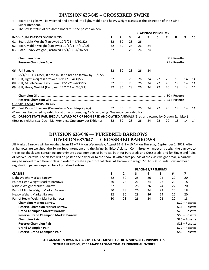# **DIVISION 635/645 – CROSSBRED SWINE**

- Boars and gilts will be weighed and divided into light, middle and heavy weight classes at the discretion of the Swine Superintendent.
- The stress status of crossbred boars must be posted on pen.

|                |                                                                                                        | <b>PLACINGS/ PREMIUMS</b> |              |    |    |    |              |    |              |    |    |  |
|----------------|--------------------------------------------------------------------------------------------------------|---------------------------|--------------|----|----|----|--------------|----|--------------|----|----|--|
|                | <b>INDIVIDUAL CLASSES DIVISION 635</b>                                                                 |                           | $\mathbf{2}$ | 3  | 4  | 5. | 6            |    | 8            | 9  | 10 |  |
| 01             | Boar, Light Weight (Farrowed 12/1/21 - 4/30/22)                                                        | 32                        | 30           | 28 | 26 |    |              |    |              |    |    |  |
| 02             | Boar, Middle Weight (Farrowed $12/1/21 - 4/30/22$ )                                                    | 32                        | 30           | 28 | 26 | 24 |              |    |              |    |    |  |
| 03             | Boar, Heavy Weight (Farrowed 12/1/21-4/30/22)                                                          | 32                        | 30           | 28 | 26 | 24 |              |    |              |    |    |  |
|                |                                                                                                        |                           |              |    |    |    |              |    | 50 + Rosette |    |    |  |
|                |                                                                                                        |                           |              |    |    |    |              |    |              |    |    |  |
| 06.            | <b>Fall Female</b>                                                                                     | 32                        | 30           | 28 | 26 | 24 |              |    |              |    |    |  |
|                | $(8/1/21 - 11/30/21$ ; if bred must be bred to farrow by 11/1/22)                                      |                           |              |    |    |    |              |    |              |    |    |  |
| 07             | Gilt, Light Weight (Farrowed 12/1/21 -4/30/22)                                                         | 32                        | 30           | 28 | 26 | 24 | 22           | 20 | 18           | 14 | 14 |  |
| 08             | Gilt, Middle Weight (Farrowed $12/1/21 - 4/30/22$ )                                                    | 32                        | 30           | 28 | 26 | 24 | 22           | 20 | 18           | 14 | 14 |  |
| 09             | Gilt, Heavy Weight (Farrowed 12/1/21-4/30/22)                                                          | 32                        | 30           | 28 | 26 | 24 | 22           | 20 | 18           | 14 | 14 |  |
|                |                                                                                                        |                           |              |    |    |    | 50 + Rosette |    |              |    |    |  |
|                |                                                                                                        |                           |              |    |    |    |              |    |              |    |    |  |
|                | <b>GROUP CLASSES DIVISION 645</b>                                                                      |                           |              |    |    |    |              |    |              |    |    |  |
| 01             | Best Pair – Either sex (December – March/April pigs)                                                   | 32                        | 30           | 28 | 26 | 24 | 22           | 20 | 18           | 14 | 14 |  |
|                | (Dam must be owned by exhibitor at time of breeding AND farrowing. One entry per exhibitor.)           |                           |              |    |    |    |              |    |              |    |    |  |
| O <sub>2</sub> | OREGON STATE FAIR SPECIAL AWARD FOR OREGON BRED AND OWNED ANIMALS (Bred and owned by Oregon Exhibitor) |                           |              |    |    |    |              |    |              |    |    |  |
|                | (Best pair either sex. Dec – Mar/Apr pigs. One entry per Exhibitor)                                    | 32                        | 30           | 28 | 26 | 24 | 22           | 20 | 18           | 14 | 14 |  |

# **DIVISION 636/646** — **PUREBRED BARROWS DIVISION 637/647 — CROSSBRED BARROWS**

All Market Barrows will be weighed from 12 – 7 PM on Wednesday, August 31 & 8 – 10 AM on Thursday, September 1, 2022. After all barrows are weighed, the Swine Superintendent and the Swine Exhibitors' Liaison Committee will meet and assign the barrows to three weight classes containing approximate equal numbers of barrows, both for Purebreds and Crossbreds, and for Single and Pairs of Market Barrows. The classes will be posted the day prior to the show. If within five pounds of the class weight break, a barrow may be moved to a different class in order to create a pair for that class. All barrows to weigh 220 to 300 pounds. Sow and boar registration papers required for all purebred entries.

|                                             | <b>PLACINGS/PREMIUMS</b> |    |    |    |    |                 |                 |  |
|---------------------------------------------|--------------------------|----|----|----|----|-----------------|-----------------|--|
| <b>CLASSES</b>                              |                          | 2  | 3. | 4  | 5. | 6               | 7               |  |
| Light Weight Market Barrow                  | 32                       | 30 | 28 | 26 | 24 | 22              | 20              |  |
| Pair of Light Weight Market Barrows         | 30                       | 28 | 26 | 24 | 22 | 20              | 18              |  |
| Middle Weight Market Barrow                 | 32                       | 30 | 28 | 26 | 24 | 22              | 20              |  |
| Pair of Middle Weight Market Barrows        | 30                       | 28 | 26 | 24 | 22 | 20              | 18              |  |
| Heavy Weight Market Barrow                  | 32                       | 30 | 28 | 26 | 24 | 22              | 20              |  |
| Pair of Heavy Weight Market Barrows         | 30                       | 28 | 26 | 24 | 22 | 20              | 18              |  |
| <b>Champion Market Barrow</b>               |                          |    |    |    |    |                 | $$20 + Rosette$ |  |
| <b>Reserve Champion Market Barrow</b>       |                          |    |    |    |    |                 | $$15 + Rosette$ |  |
| <b>Grand Champion Market Barrow</b>         |                          |    |    |    |    | $$70 + Rosette$ |                 |  |
| <b>Reserve Grand Champion Market Barrow</b> |                          |    |    |    |    |                 | $$50 + Rosette$ |  |
| <b>Champion Pair</b>                        |                          |    |    |    |    |                 | $$20 + Rosette$ |  |
| <b>Reserve Champion Pair</b>                |                          |    |    |    |    |                 | $$15 + Rosette$ |  |
| <b>Grand Champion Pair</b>                  |                          |    |    |    |    |                 | $$70 + Rosette$ |  |
| <b>Reserve Grand Champion Pair</b>          |                          |    |    |    |    |                 | $$50 + Rosette$ |  |

#### **ALL ANIMALS SHOWN IN GROUP CLASSES MUST HAVE BEEN SHOWN AS INDIVIDUALS. GROUP ENTRIES MUST BE MADE AT SAME TIME AS INDIVIDUAL ENTRIES.**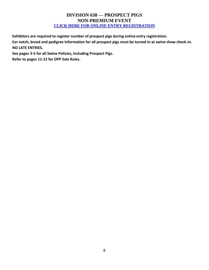# **DIVISION 638 — PROSPECT PIGS NON-PREMIUM EVENT [CLICK HERE FOR ONLINE ENTRY REGISTRATION](http://oregona.fairmanager.com/)**

**Exhibitors are required to register number of prospect pigs during online entry registration.**

**Ear notch, breed and pedigree information for all prospect pigs must be turned in at swine show check-in. NO LATE ENTRIES.**

**See pages 3-5 for all Swine Policies, including Prospect Pigs.**

**Refer to pages 11-12 for OPP Sale Rules.**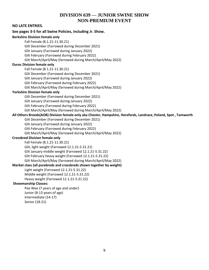## **DIVISION 639 — JUNIOR SWINE SHOW NON-PREMIUM EVENT**

## **NO LATE ENTRIES.**

## **See pages 3-5 for all Swine Policies, including Jr. Show. Berkshire Division female only**  Fall Female (8.1.21-11.30.21) Gilt December (Farrowed during December 2021) Gilt January (Farrowed during January 2022) Gilt February (Farrowed during February 2022) Gilt March/April/May (farrowed during March/April/May 2022) **Duroc Division female only**  Fall Female (8.1.21-11.30.21) Gilt December (Farrowed during December 2021) Gilt January (Farrowed during January 2022) Gilt February (Farrowed during February 2022) Gilt March/April/May (farrowed during March/April/May 2022) **Yorkshire Division female only**  Gilt December (Farrowed during December 2021) Gilt January (Farrowed during January 2022) Gilt February (Farrowed during February 2022) Gilt March/April/May (farrowed during March/April/May 2022) **All Others Breeds(AOB) Division female only aka Chester, Hampshire, Herefords, Landrace, Poland, Spot , Tamworth**  Gilt December (Farrowed during December 2021) Gilt January (Farrowed during January 2022) Gilt February (Farrowed during February 2022) Gilt March/April/May (farrowed during March/April/May 2022) **Crossbred Division female only**  Fall Female (8.1.21-11.30.21) Gilt, light weight (Farrowed 12.1.21-5.31.21) Gilt January middle weight (Farrowed 12.1.21-5.31.22) Gilt February heavy weight (Farrowed 12.1.21-5.31.22) Gilt March/April/May (farrowed during March/April/May 2022) **Market class (all purebreds and crossbreds shown together by weight)** Light weight (Farrowed 12.1.21-5.31.22) Middle weight (Farrowed 12.1.21-5.31.22) Heavy weight (Farrowed 12.1.21-5.31.22) **Showmanship Classes:**  Pee Wee (7 years of age and under) Junior (8-13 years of age) Intermediate (14-17) Senior (18-21)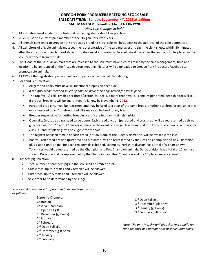## **OREGON PORK PRODUCERS BREEDING STOCK SALE**

**SALE DATE/TIME: Sunday, September 4th, 2022 at 1:00pm**

**SALE MANAGER: Lowell Bickle, 541-218-1228**

#### *New rule changes in bold*

- 1. All exhibitors must abide by the National Swine Registry Code of Fair practices.
- 2. Seller must be a current paid member of the Oregon Pork Producers.
- 3. All animals consigned to Oregon Pork Producers Breeding Stock Sale will be subject to the approval of the Sale Committee.
- 4. All exhibitors of eligible animals must see the representative of the sale manager and sign the clerk sheets within 30 minutes after the conclusion of each breed show. Exhibitors must also note on the clerk sheets whether the animal is to be placed in the sale, or withheld from the sale.
- 5. For "Good of the Sale" all animals that are released to the sale must have pictures taken by the sale management, time and location to be announced at the first exhibitors meeting. Pictures will be uploaded to Oregon Pork Producers Facebook to promote sale animals.
- 6. A COPY of the registration papers must accompany each animal at the sale ring.
- 7. Boar and Gilt selection:
	- All gilts and boars must have six functional nipples on each side.
	- *It is highly recommended sellers of animals have their hogs tested for stress gene.*
	- The top five (5) Fall Females per breed/section will sell. No more than two Fall Females per breed, per exhibitor will sell. If bred all bred gilts will be guaranteed to farrow by November 1, 20**22**.
	- Purebred bred gilts must be registered and may be bred to a boar of the same breed, another purebred breed, an exotic or a crossbred boar. Crossbred bred gilts may also be bred to any boar.
	- Breeder responsible for getting breeding certificate to buyer in timely fashion.
	- Open gilts (must be guaranteed to be open): Each breed division (purebred and crossbred) will be represented by three gilts per class; 1<sup>st</sup>, 2<sup>nd</sup> and 3<sup>rd</sup> placing animals. In the event of a large class being split into two classes, two (2) animals per class;  $1<sup>st</sup>$  and  $2<sup>nd</sup>$  placings will be eligible for the sale.
	- The highest released female of each breed (not division), at the Judge's discretion, will be available for sale.
	- Boars: Each breed division (purebred and crossbred) will be represented by the Division Champion and Res. Champion plus 1 additional animal for each ten animals exhibited. Examples: Yorkshire division has a total of 9 boars shown. Yorkshires would be represented by the Champion and Res. Champion animals. Duroc division has a total of 11 animals shown. Durocs would be represented by the Champion and Res. Champion and the  $1<sup>st</sup>$  place January animal.
- 8. Prospect pig selection:
	- Total number of prospect pigs in the sale shall be limited to 24.
	- Crossbreds: up to 7 males and 7 females will be allowed.
	- Purebreds: up to 5 males and 5 females will be allowed.
	- Sale order to be determined by the Judge.

*Sale eligibility sequence for purebred boars and open gilts is as follows:*

> Supreme Champion Champion Reserve Champion 1<sup>st</sup> Open Fall gilt 1<sup>st</sup> December (gilt only) 1<sup>st</sup> January 1<sup>st</sup> February 2<sup>nd</sup> Open Fall gilt 2<sup>nd</sup> December (gilt only) 2<sup>nd</sup> January 2<sup>nd</sup> February

3<sup>rd</sup> Open Fall gilt 3<sup>rd</sup> December (gilt only) 3<sup>rd</sup> January (gilt only) 3<sup>rd</sup> February (gilt only)

*Note: The only March/April pigs that will qualify for the sale must be Champions or Reserve Champions.*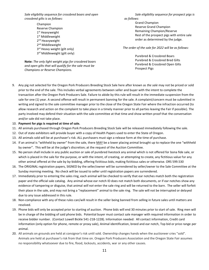*Sale eligibility sequence for crossbred boars and open crossbred gilts is as follows:*

> Champion Reserve Champion 1<sup>st</sup> Heavyweight 1st Middleweight 2<sup>nd</sup> Heavyweight 2<sup>nd</sup> Middleweight 3<sup>rd</sup> Heavy weight (gilt only) 3<sup>rd</sup> Middleweight (gilt only)

**Note:** *The only light weight pigs for crossbred boars and open gilts that will qualify for the sale must be Champions or Reserve Champions.*

*Sale eligibility sequence for prospect pigs is as follows:*

> Grand Champion Reserve Grand Champion Remaining Champion/Reserve Rest of the prospect pigs with entire sale order as determined by the judge.

*The order of the sale for 2022 will be as follows:*

Purebred & Crossbred Boars Purebred & Crossbred Bred Gilts Purebred & Crossbred Open Gilts Prospect Pigs

9. Any pig not selected for the Oregon Pork Producers Breeding Stock Sale here after known as *the sale* may not be priced or sold prior to the end of the sale. This includes verbal agreements between seller and buyer with the intent to complete the transaction after the Oregon Pork Producers Sale. Failure to abide by this rule will result in the immediate suspension from the sale for one (1) year. A second offense will result in permanent banning for the sale. A complaint/concern must be submitted in writing and signed to the sale committee manager prior to the close of the Oregon State Fair where the infraction occurred (to allow research and action on the complaint to take place in a timely manner prior to all parties leaving the Fair if possible). The party involved may defend their situation with the sale committee at that time and show written proof that the conversation and/or sale did not take place.

#### 10. **Payment for pigs is required at time of sale.**

- 11. All animals purchased through Oregon Pork Producers Breeding Stock Sale will be released immediately following the sale.
- 12. Out of state exhibitors will provide buyer with a copy of Health Papers used to enter the State of Oregon.
- 13. All animals sold will be at purchaser's risk. ALL purchasers must sign a release form at the time of purchase.
- 14. If an animal is "withheld by owner" from the sale, there MAY be a lower placing animal brought up to replace the one "withheld by owner". This will be at the judge's discretion; at the request of the Auction Committee.
- 15. No person shall include in any public auction or sale of purebred livestock any animal which is not offered for bona fide sale, or which is placed in the sale for the purpose, or with the intent, of creating, or attempting to create, any fictitious value for any other animal offered at the sale by by-bidding, offering fictitious bids, making fictitious sales or otherwise. ORS 599.530
- 16. The ORIGINAL registration papers, SIGNED by the seller/owner will be surrendered by seller/owner to the Sale Committee at the Sunday morning meeting. No check will be issued to seller until registration papers are surrendered.
- 17. Immediately prior to entering the sales ring, each animal will be checked to verify that ear notches match both the registration paper and the official sale catalog. Any animal whose ear notch ID does not match both documents, or if ear notches show any evidence of tampering or disguise, that animal *will not* enter the sale ring and will be returned to the barn. The seller will forfeit their place in the sale, and may not bring a "replacement" animal to the sale ring. The sale will not be interrupted or delayed due to any issue addressed in this rule.
- 18. Non-compliance with any of these rules can/will result in the seller being banned from selling in future sales until matters are resolved.
- 19. Phone bids will only be accepted prior to starting of auction. Phone bids will end 30 minutes prior to start of sale. Ring men will be in charge of the bidding of said phone bids. Potential buyer must contact sale manager with required information in order to receive bidder number. (Contact Lowell Bickle 541-218-1228). Information needed: All contact information, Credit card information (only option for phone, remote or proxy sale), Animal identification, breed and ear notch, Top bid or price range per animal.
- 20. All animals on grounds are held at consignor's risk until sold. Ownership changes hands when the auctioneer cries "sold". Animals are held at purchaser's risk from that time on. Oregon Pork Producers Association and the Oregon State Fair assumes no responsibility whatsoever due to fire, flood, lockouts, accidents, war or any other causes.